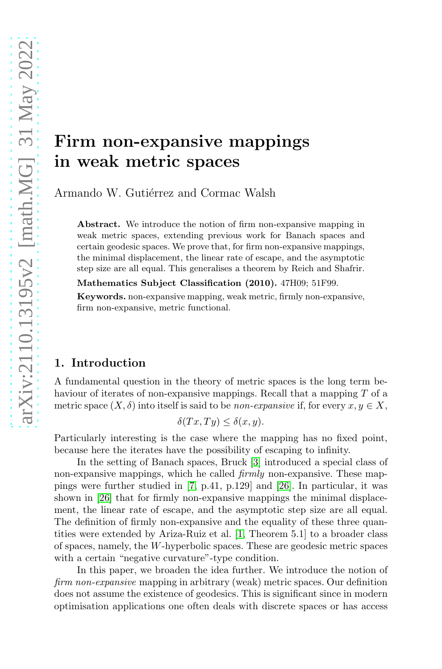# Firm non-expansive mappings in weak metric spaces

Armando W. Gutiérrez and Cormac Walsh

Abstract. We introduce the notion of firm non-expansive mapping in weak metric spaces, extending previous work for Banach spaces and certain geodesic spaces. We prove that, for firm non-expansive mappings, the minimal displacement, the linear rate of escape, and the asymptotic step size are all equal. This generalises a theorem by Reich and Shafrir.

Mathematics Subject Classification (2010). 47H09; 51F99.

Keywords. non-expansive mapping, weak metric, firmly non-expansive, firm non-expansive, metric functional.

# 1. Introduction

A fundamental question in the theory of metric spaces is the long term behaviour of iterates of non-expansive mappings. Recall that a mapping T of a metric space  $(X, \delta)$  into itself is said to be *non-expansive* if, for every  $x, y \in X$ ,

$$
\delta(Tx,Ty) \le \delta(x,y).
$$

Particularly interesting is the case where the mapping has no fixed point, because here the iterates have the possibility of escaping to infinity.

In the setting of Banach spaces, Bruck [\[3\]](#page-9-0) introduced a special class of non-expansive mappings, which he called firmly non-expansive. These mappings were further studied in [\[7,](#page-9-1) p.41, p.129] and [\[26\]](#page-10-0). In particular, it was shown in [\[26\]](#page-10-0) that for firmly non-expansive mappings the minimal displacement, the linear rate of escape, and the asymptotic step size are all equal. The definition of firmly non-expansive and the equality of these three quantities were extended by Ariza-Ruiz et al. [\[1,](#page-9-2) Theorem 5.1] to a broader class of spaces, namely, the W-hyperbolic spaces. These are geodesic metric spaces with a certain "negative curvature"-type condition.

In this paper, we broaden the idea further. We introduce the notion of firm non-expansive mapping in arbitrary (weak) metric spaces. Our definition does not assume the existence of geodesics. This is significant since in modern optimisation applications one often deals with discrete spaces or has access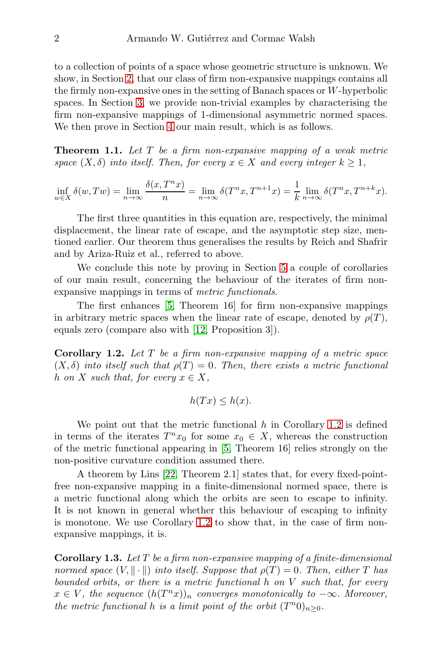to a collection of points of a space whose geometric structure is unknown. We show, in Section [2,](#page-2-0) that our class of firm non-expansive mappings contains all the firmly non-expansive ones in the setting of Banach spaces or W-hyperbolic spaces. In Section [3,](#page-3-0) we provide non-trivial examples by characterising the firm non-expansive mappings of 1-dimensional asymmetric normed spaces. We then prove in Section [4](#page-5-0) our main result, which is as follows.

<span id="page-1-1"></span>**Theorem 1.1.** Let  $T$  be a firm non-expansive mapping of a weak metric space  $(X, \delta)$  into itself. Then, for every  $x \in X$  and every integer  $k \geq 1$ ,

$$
\inf_{w \in X} \delta(w, Tw) = \lim_{n \to \infty} \frac{\delta(x, T^n x)}{n} = \lim_{n \to \infty} \delta(T^n x, T^{n+1} x) = \frac{1}{k} \lim_{n \to \infty} \delta(T^n x, T^{n+k} x).
$$

The first three quantities in this equation are, respectively, the minimal displacement, the linear rate of escape, and the asymptotic step size, mentioned earlier. Our theorem thus generalises the results by Reich and Shafrir and by Ariza-Ruiz et al., referred to above.

We conclude this note by proving in Section [5](#page-7-0) a couple of corollaries of our main result, concerning the behaviour of the iterates of firm nonexpansive mappings in terms of metric functionals.

The first enhances [\[5,](#page-9-3) Theorem 16] for firm non-expansive mappings in arbitrary metric spaces when the linear rate of escape, denoted by  $\rho(T)$ , equals zero (compare also with [\[12,](#page-10-1) Proposition 3]).

<span id="page-1-0"></span>**Corollary 1.2.** Let  $T$  be a firm non-expansive mapping of a metric space  $(X, \delta)$  into itself such that  $\rho(T) = 0$ . Then, there exists a metric functional h on X such that, for every  $x \in X$ ,

$$
h(Tx) \le h(x).
$$

We point out that the metric functional  $h$  in Corollary [1.2](#page-1-0) is defined in terms of the iterates  $T^n x_0$  for some  $x_0 \in X$ , whereas the construction of the metric functional appearing in [\[5,](#page-9-3) Theorem 16] relies strongly on the non-positive curvature condition assumed there.

A theorem by Lins [\[22,](#page-10-2) Theorem 2.1] states that, for every fixed-pointfree non-expansive mapping in a finite-dimensional normed space, there is a metric functional along which the orbits are seen to escape to infinity. It is not known in general whether this behaviour of escaping to infinity is monotone. We use Corollary [1.2](#page-1-0) to show that, in the case of firm nonexpansive mappings, it is.

<span id="page-1-2"></span>Corollary 1.3. Let  $T$  be a firm non-expansive mapping of a finite-dimensional normed space  $(V, \|\cdot\|)$  into itself. Suppose that  $\rho(T) = 0$ . Then, either T has bounded orbits, or there is a metric functional  $h$  on  $V$  such that, for every  $x \in V$ , the sequence  $(h(T^n x))_n$  converges monotonically to  $-\infty$ . Moreover, the metric functional h is a limit point of the orbit  $(T^n 0)_{n\geq 0}$ .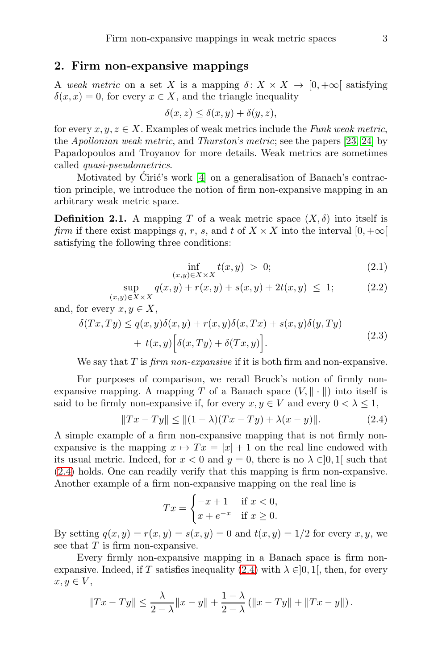## <span id="page-2-0"></span>2. Firm non-expansive mappings

A weak metric on a set X is a mapping  $\delta: X \times X \to [0, +\infty]$  satisfying  $\delta(x, x) = 0$ , for every  $x \in X$ , and the triangle inequality

$$
\delta(x, z) \le \delta(x, y) + \delta(y, z),
$$

for every  $x, y, z \in X$ . Examples of weak metrics include the Funk weak metric, the Apollonian weak metric, and Thurston's metric; see the papers [\[23,](#page-10-3) [24\]](#page-10-4) by Papadopoulos and Troyanov for more details. Weak metrics are sometimes called quasi-pseudometrics.

Motivated by Ćirić's work  $[4]$  on a generalisation of Banach's contraction principle, we introduce the notion of firm non-expansive mapping in an arbitrary weak metric space.

**Definition 2.1.** A mapping T of a weak metric space  $(X, \delta)$  into itself is firm if there exist mappings q, r, s, and t of  $X \times X$  into the interval  $[0, +\infty[$ satisfying the following three conditions:

<span id="page-2-4"></span>
$$
\inf_{(x,y)\in X\times X} t(x,y) > 0; \tag{2.1}
$$

<span id="page-2-3"></span>
$$
\sup_{(x,y)\in X\times X} q(x,y) + r(x,y) + s(x,y) + 2t(x,y) \le 1; \tag{2.2}
$$

<span id="page-2-2"></span>and, for every  $x, y \in X$ ,

$$
\delta(Tx,Ty) \le q(x,y)\delta(x,y) + r(x,y)\delta(x,Tx) + s(x,y)\delta(y,Ty) + t(x,y) \Big[\delta(x,Ty) + \delta(Tx,y)\Big].
$$
\n(2.3)

We say that  $T$  is *firm non-expansive* if it is both firm and non-expansive.

For purposes of comparison, we recall Bruck's notion of firmly nonexpansive mapping. A mapping T of a Banach space  $(V, \|\cdot\|)$  into itself is said to be firmly non-expansive if, for every  $x, y \in V$  and every  $0 < \lambda \leq 1$ ,

<span id="page-2-1"></span>
$$
||Tx - Ty|| \le ||(1 - \lambda)(Tx - Ty) + \lambda(x - y)||. \tag{2.4}
$$

A simple example of a firm non-expansive mapping that is not firmly nonexpansive is the mapping  $x \mapsto Tx = |x| + 1$  on the real line endowed with its usual metric. Indeed, for  $x < 0$  and  $y = 0$ , there is no  $\lambda \in ]0,1[$  such that [\(2.4\)](#page-2-1) holds. One can readily verify that this mapping is firm non-expansive. Another example of a firm non-expansive mapping on the real line is

$$
Tx = \begin{cases} -x+1 & \text{if } x < 0, \\ x+e^{-x} & \text{if } x \ge 0. \end{cases}
$$

By setting  $q(x, y) = r(x, y) = s(x, y) = 0$  and  $t(x, y) = 1/2$  for every x, y, we see that  $T$  is firm non-expansive.

Every firmly non-expansive mapping in a Banach space is firm non-expansive. Indeed, if T satisfies inequality [\(2.4\)](#page-2-1) with  $\lambda \in ]0,1[$ , then, for every  $x, y \in V$ ,

$$
||Tx - Ty|| \le \frac{\lambda}{2 - \lambda} ||x - y|| + \frac{1 - \lambda}{2 - \lambda} (||x - Ty|| + ||Tx - y||).
$$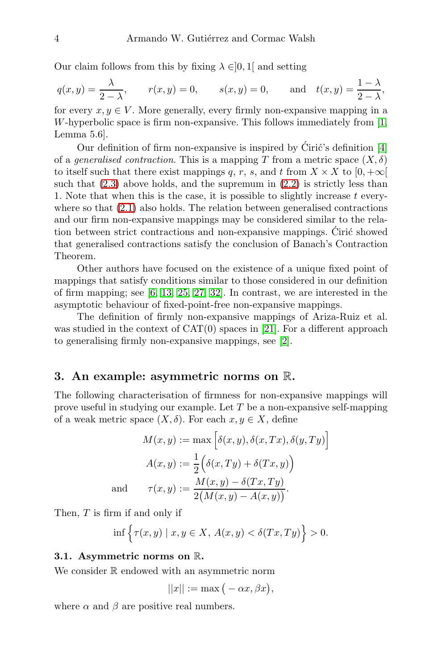Our claim follows from this by fixing  $\lambda \in ]0,1[$  and setting

$$
q(x,y) = \frac{\lambda}{2-\lambda}
$$
,  $r(x,y) = 0$ ,  $s(x,y) = 0$ , and  $t(x,y) = \frac{1-\lambda}{2-\lambda}$ ,

for every  $x, y \in V$ . More generally, every firmly non-expansive mapping in a W-hyperbolic space is firm non-expansive. This follows immediately from  $[1,$ Lemma 5.6].

Our definition of firm non-expansive is inspired by Ciric's definition  $[4]$ of a *generalised contraction*. This is a mapping T from a metric space  $(X, \delta)$ to itself such that there exist mappings q, r, s, and t from  $X \times X$  to  $[0, +\infty[$ such that  $(2.3)$  above holds, and the supremum in  $(2.2)$  is strictly less than 1. Note that when this is the case, it is possible to slightly increase  $t$  everywhere so that [\(2.1\)](#page-2-4) also holds. The relation between generalised contractions and our firm non-expansive mappings may be considered similar to the relation between strict contractions and non-expansive mappings. Ciric showed that generalised contractions satisfy the conclusion of Banach's Contraction Theorem.

Other authors have focused on the existence of a unique fixed point of mappings that satisfy conditions similar to those considered in our definition of firm mapping; see [\[6,](#page-9-5) [13,](#page-10-5) [25,](#page-10-6) [27,](#page-10-7) [32\]](#page-11-0). In contrast, we are interested in the asymptotic behaviour of fixed-point-free non-expansive mappings.

The definition of firmly non-expansive mappings of Ariza-Ruiz et al. was studied in the context of  $CAT(0)$  spaces in [\[21\]](#page-10-8). For a different approach to generalising firmly non-expansive mappings, see [\[2\]](#page-9-6).

## <span id="page-3-0"></span>3. An example: asymmetric norms on R.

The following characterisation of firmness for non-expansive mappings will prove useful in studying our example. Let  $T$  be a non-expansive self-mapping of a weak metric space  $(X, \delta)$ . For each  $x, y \in X$ , define

$$
M(x, y) := \max \left[ \delta(x, y), \delta(x, Tx), \delta(y, Ty) \right]
$$

$$
A(x, y) := \frac{1}{2} \Big( \delta(x, Ty) + \delta(Tx, y) \Big)
$$
and
$$
\tau(x, y) := \frac{M(x, y) - \delta(Tx, Ty)}{2(M(x, y) - A(x, y))}.
$$

Then, T is firm if and only if

$$
\inf \Big\{ \tau(x,y) \mid x,y \in X, \, A(x,y) < \delta(Tx,Ty) \Big\} > 0.
$$

#### 3.1. Asymmetric norms on R.

We consider  $\mathbb R$  endowed with an asymmetric norm

$$
||x|| := \max(-\alpha x, \beta x),
$$

where  $\alpha$  and  $\beta$  are positive real numbers.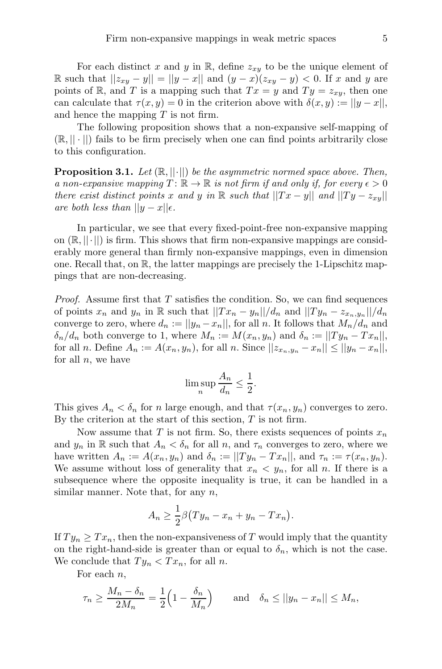For each distinct x and y in R, define  $z_{xy}$  to be the unique element of R such that  $||z_{xy} - y|| = ||y - x||$  and  $(y - x)(z_{xy} - y) < 0$ . If x and y are points of R, and T is a mapping such that  $Tx = y$  and  $Ty = z_{xy}$ , then one can calculate that  $\tau(x, y) = 0$  in the criterion above with  $\delta(x, y) := ||y - x||$ , and hence the mapping  $T$  is not firm.

The following proposition shows that a non-expansive self-mapping of  $(\mathbb{R}, || \cdot ||)$  fails to be firm precisely when one can find points arbitrarily close to this configuration.

**Proposition 3.1.** Let  $(\mathbb{R}, ||\cdot||)$  be the asymmetric normed space above. Then, a non-expansive mapping  $T: \mathbb{R} \to \mathbb{R}$  is not firm if and only if, for every  $\epsilon > 0$ there exist distinct points x and y in R such that  $||Tx - y||$  and  $||Ty - z_{xy}||$ are both less than  $||y-x||_{\epsilon}$ .

In particular, we see that every fixed-point-free non-expansive mapping on  $(\mathbb{R}, ||\cdot||)$  is firm. This shows that firm non-expansive mappings are considerably more general than firmly non-expansive mappings, even in dimension one. Recall that, on R, the latter mappings are precisely the 1-Lipschitz mappings that are non-decreasing.

*Proof.* Assume first that  $T$  satisfies the condition. So, we can find sequences of points  $x_n$  and  $y_n$  in R such that  $||Tx_n - y_n||/d_n$  and  $||Ty_n - z_{x_n,y_n}||/d_n$ converge to zero, where  $d_n := ||y_n - x_n||$ , for all n. It follows that  $M_n/d_n$  and  $\delta_n/d_n$  both converge to 1, where  $M_n := M(x_n, y_n)$  and  $\delta_n := ||Ty_n - Tx_n||$ , for all n. Define  $A_n := A(x_n, y_n)$ , for all n. Since  $||z_{x_n, y_n} - z_n|| \le ||y_n - x_n||$ , for all  $n$ , we have

$$
\limsup_{n} \frac{A_n}{d_n} \le \frac{1}{2}.
$$

This gives  $A_n < \delta_n$  for n large enough, and that  $\tau(x_n, y_n)$  converges to zero. By the criterion at the start of this section,  $T$  is not firm.

Now assume that T is not firm. So, there exists sequences of points  $x_n$ and  $y_n$  in R such that  $A_n < \delta_n$  for all n, and  $\tau_n$  converges to zero, where we have written  $A_n := A(x_n, y_n)$  and  $\delta_n := ||Ty_n - Tx_n||$ , and  $\tau_n := \tau(x_n, y_n)$ . We assume without loss of generality that  $x_n \leq y_n$ , for all n. If there is a subsequence where the opposite inequality is true, it can be handled in a similar manner. Note that, for any  $n$ ,

$$
A_n \geq \frac{1}{2}\beta \big(Ty_n - x_n + y_n - Tx_n\big).
$$

If  $Ty_n \geq Tx_n$ , then the non-expansiveness of T would imply that the quantity on the right-hand-side is greater than or equal to  $\delta_n$ , which is not the case. We conclude that  $Ty_n < Tx_n$ , for all n.

For each  $n$ ,

$$
\tau_n \ge \frac{M_n - \delta_n}{2M_n} = \frac{1}{2} \left( 1 - \frac{\delta_n}{M_n} \right)
$$
 and  $\delta_n \le ||y_n - x_n|| \le M_n$ ,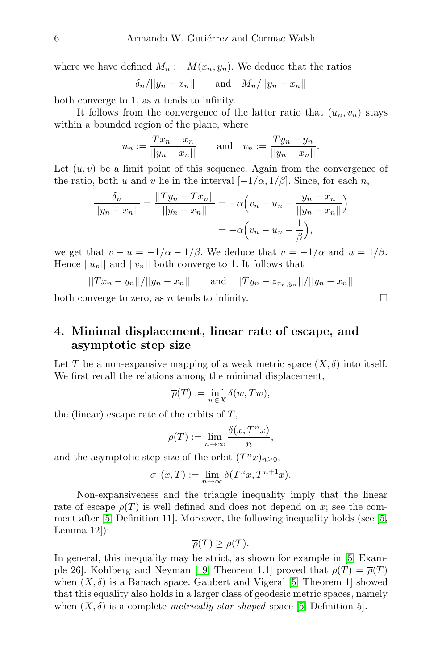where we have defined  $M_n := M(x_n, y_n)$ . We deduce that the ratios

$$
\delta_n/||y_n - x_n|| \qquad \text{and} \quad M_n/||y_n - x_n||
$$

both converge to 1, as  $n$  tends to infinity.

It follows from the convergence of the latter ratio that  $(u_n, v_n)$  stays within a bounded region of the plane, where

$$
u_n := \frac{T x_n - x_n}{||y_n - x_n||}
$$
 and  $v_n := \frac{T y_n - y_n}{||y_n - x_n||}$ .

Let  $(u, v)$  be a limit point of this sequence. Again from the convergence of the ratio, both u and v lie in the interval  $[-1/\alpha, 1/\beta]$ . Since, for each n,

$$
\frac{\delta_n}{||y_n - x_n||} = \frac{||Ty_n - Tx_n||}{||y_n - x_n||} = -\alpha \left( v_n - u_n + \frac{y_n - x_n}{||y_n - x_n||} \right)
$$

$$
= -\alpha \left( v_n - u_n + \frac{1}{\beta} \right),
$$

we get that  $v - u = -1/\alpha - 1/\beta$ . We deduce that  $v = -1/\alpha$  and  $u = 1/\beta$ . Hence  $||u_n||$  and  $||v_n||$  both converge to 1. It follows that

$$
||Tx_n - y_n||/||y_n - x_n||
$$
 and  $||Ty_n - z_{x_n,y_n}||/||y_n - x_n||$ 

both converge to zero, as  $n$  tends to infinity.

# <span id="page-5-0"></span>4. Minimal displacement, linear rate of escape, and asymptotic step size

Let T be a non-expansive mapping of a weak metric space  $(X, \delta)$  into itself. We first recall the relations among the minimal displacement,

$$
\overline{\rho}(T):=\inf_{w\in X}\delta(w,Tw),
$$

the (linear) escape rate of the orbits of  $T$ ,

$$
\rho(T) := \lim_{n \to \infty} \frac{\delta(x, T^n x)}{n},
$$

and the asymptotic step size of the orbit  $(T^n x)_{n \geq 0}$ ,

$$
\sigma_1(x,T) := \lim_{n \to \infty} \delta(T^n x, T^{n+1} x).
$$

Non-expansiveness and the triangle inequality imply that the linear rate of escape  $\rho(T)$  is well defined and does not depend on x; see the comment after [\[5,](#page-9-3) Definition 11]. Moreover, the following inequality holds (see [\[5,](#page-9-3) Lemma 12]):

$$
\overline{\rho}(T) \ge \rho(T).
$$

In general, this inequality may be strict, as shown for example in [\[5,](#page-9-3) Exam-ple 26]. Kohlberg and Neyman [\[19,](#page-10-9) Theorem 1.1] proved that  $\rho(T) = \overline{\rho}(T)$ when  $(X, \delta)$  is a Banach space. Gaubert and Vigeral [\[5,](#page-9-3) Theorem 1] showed that this equality also holds in a larger class of geodesic metric spaces, namely when  $(X, \delta)$  is a complete *metrically star-shaped* space [\[5,](#page-9-3) Definition 5].

$$
\Box
$$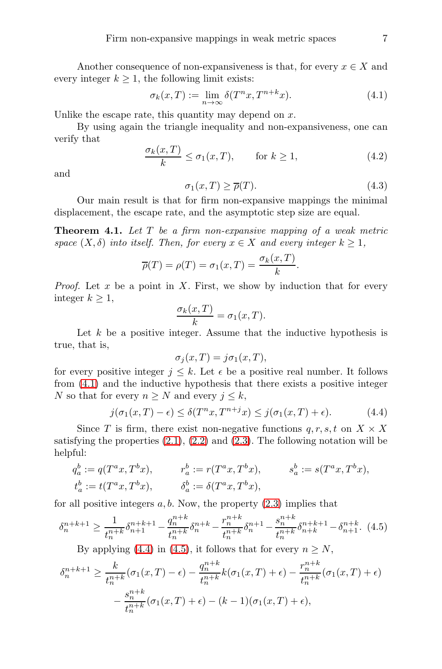Another consequence of non-expansiveness is that, for every  $x \in X$  and every integer  $k \geq 1$ , the following limit exists:

<span id="page-6-0"></span>
$$
\sigma_k(x,T) := \lim_{n \to \infty} \delta(T^n x, T^{n+k} x). \tag{4.1}
$$

Unlike the escape rate, this quantity may depend on  $x$ .

By using again the triangle inequality and non-expansiveness, one can verify that

<span id="page-6-3"></span>
$$
\frac{\sigma_k(x,T)}{k} \le \sigma_1(x,T), \qquad \text{for } k \ge 1,
$$
\n(4.2)

and

<span id="page-6-4"></span>
$$
\sigma_1(x,T) \ge \overline{\rho}(T). \tag{4.3}
$$

Our main result is that for firm non-expansive mappings the minimal displacement, the escape rate, and the asymptotic step size are equal.

**Theorem 4.1.** Let  $T$  be a firm non-expansive mapping of a weak metric space  $(X, \delta)$  into itself. Then, for every  $x \in X$  and every integer  $k \geq 1$ ,

$$
\overline{\rho}(T) = \rho(T) = \sigma_1(x,T) = \frac{\sigma_k(x,T)}{k}.
$$

*Proof.* Let x be a point in X. First, we show by induction that for every integer  $k \geq 1$ ,

$$
\frac{\sigma_k(x,T)}{k} = \sigma_1(x,T).
$$

Let  $k$  be a positive integer. Assume that the inductive hypothesis is true, that is,

$$
\sigma_j(x,T) = j\sigma_1(x,T),
$$

for every positive integer  $j \leq k$ . Let  $\epsilon$  be a positive real number. It follows from [\(4.1\)](#page-6-0) and the inductive hypothesis that there exists a positive integer N so that for every  $n > N$  and every  $j \leq k$ ,

<span id="page-6-1"></span>
$$
j(\sigma_1(x,T) - \epsilon) \le \delta(T^n x, T^{n+j} x) \le j(\sigma_1(x,T) + \epsilon). \tag{4.4}
$$

Since T is firm, there exist non-negative functions  $q, r, s, t$  on  $X \times X$ satisfying the properties  $(2.1)$ ,  $(2.2)$  and  $(2.3)$ . The following notation will be helpful:

$$
\begin{aligned} q_a^b &:= q(T^a x, T^b x), & &r_a^b &:= r(T^a x, T^b x), & &s_a^b &:= s(T^a x, T^b x), \\ t_a^b &:= t(T^a x, T^b x), & &\delta_a^b &:= \delta(T^a x, T^b x), \end{aligned}
$$

for all positive integers  $a, b$ . Now, the property  $(2.3)$  implies that

<span id="page-6-2"></span>
$$
\delta_n^{n+k+1} \ge \frac{1}{t_n^{n+k}} \delta_{n+1}^{n+k+1} - \frac{q_n^{n+k}}{t_n^{n+k}} \delta_n^{n+k} - \frac{r_n^{n+k}}{t_n^{n+k}} \delta_n^{n+1} - \frac{s_n^{n+k}}{t_n^{n+k}} \delta_{n+k}^{n+k+1} - \delta_{n+1}^{n+k}.
$$
 (4.5)

By applying [\(4.4\)](#page-6-1) in [\(4.5\)](#page-6-2), it follows that for every  $n \geq N$ ,

$$
\delta_n^{n+k+1} \ge \frac{k}{t_n^{n+k}} (\sigma_1(x,T) - \epsilon) - \frac{q_n^{n+k}}{t_n^{n+k}} k(\sigma_1(x,T) + \epsilon) - \frac{r_n^{n+k}}{t_n^{n+k}} (\sigma_1(x,T) + \epsilon)
$$

$$
- \frac{s_n^{n+k}}{t_n^{n+k}} (\sigma_1(x,T) + \epsilon) - (k-1)(\sigma_1(x,T) + \epsilon),
$$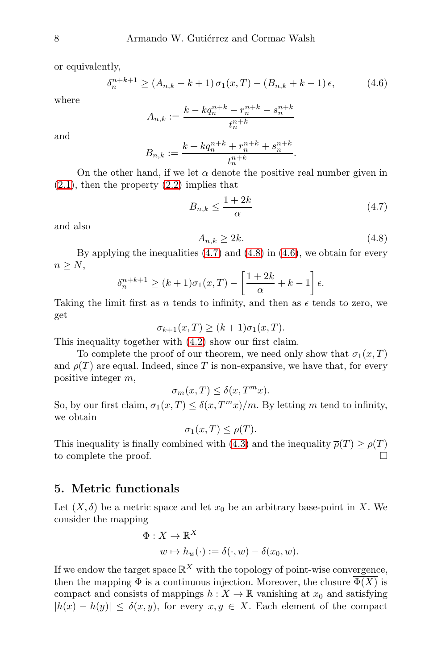or equivalently,

<span id="page-7-3"></span>
$$
\delta_n^{n+k+1} \ge (A_{n,k} - k + 1) \sigma_1(x,T) - (B_{n,k} + k - 1) \epsilon, \tag{4.6}
$$

where

$$
A_{n,k} := \frac{k - kq_n^{n+k} - r_n^{n+k} - s_n^{n+k}}{t_n^{n+k}}
$$

and

$$
B_{n,k} := \frac{k + kq_n^{n+k} + r_n^{n+k} + s_n^{n+k}}{t_n^{n+k}}.
$$

On the other hand, if we let  $\alpha$  denote the positive real number given in  $(2.1)$ , then the property  $(2.2)$  implies that

<span id="page-7-1"></span>
$$
B_{n,k} \le \frac{1+2k}{\alpha} \tag{4.7}
$$

and also

<span id="page-7-2"></span>
$$
A_{n,k} \ge 2k.\tag{4.8}
$$

By applying the inequalities  $(4.7)$  and  $(4.8)$  in  $(4.6)$ , we obtain for every  $n \geq N$ ,

$$
\delta_n^{n+k+1} \ge (k+1)\sigma_1(x,T) - \left[\frac{1+2k}{\alpha} + k - 1\right]\epsilon.
$$

Taking the limit first as n tends to infinity, and then as  $\epsilon$  tends to zero, we get

$$
\sigma_{k+1}(x,T) \ge (k+1)\sigma_1(x,T).
$$

This inequality together with [\(4.2\)](#page-6-3) show our first claim.

To complete the proof of our theorem, we need only show that  $\sigma_1(x,T)$ and  $\rho(T)$  are equal. Indeed, since T is non-expansive, we have that, for every positive integer m,

$$
\sigma_m(x,T) \le \delta(x,T^m x).
$$

So, by our first claim,  $\sigma_1(x,T) \leq \delta(x,T^m x)/m$ . By letting m tend to infinity, we obtain

$$
\sigma_1(x,T) \le \rho(T).
$$

This inequality is finally combined with [\(4.3\)](#page-6-4) and the inequality  $\overline{\rho}(T) \ge \rho(T)$ to complete the proof.

## <span id="page-7-0"></span>5. Metric functionals

Let  $(X, \delta)$  be a metric space and let  $x_0$  be an arbitrary base-point in X. We consider the mapping

$$
\Phi: X \to \mathbb{R}^X
$$
  

$$
w \mapsto h_w(\cdot) := \delta(\cdot, w) - \delta(x_0, w).
$$

If we endow the target space  $\mathbb{R}^X$  with the topology of point-wise convergence, then the mapping  $\Phi$  is a continuous injection. Moreover, the closure  $\overline{\Phi(X)}$  is compact and consists of mappings  $h: X \to \mathbb{R}$  vanishing at  $x_0$  and satisfying  $|h(x) - h(y)| \leq \delta(x, y)$ , for every  $x, y \in X$ . Each element of the compact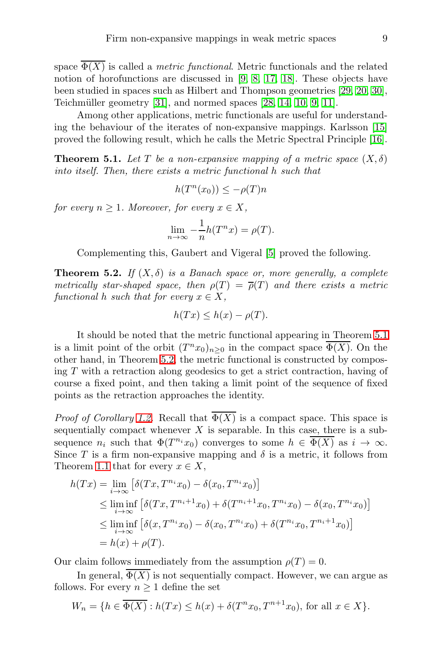space  $\overline{\Phi(X)}$  is called a *metric functional*. Metric functionals and the related notion of horofunctions are discussed in [\[9,](#page-9-7) [8,](#page-9-8) [17,](#page-10-10) [18\]](#page-10-11). These objects have been studied in spaces such as Hilbert and Thompson geometries [\[29,](#page-10-12) [20,](#page-10-13) [30\]](#page-10-14), Teichmüller geometry  $[31]$ , and normed spaces  $[28, 14, 10, 9, 11]$  $[28, 14, 10, 9, 11]$  $[28, 14, 10, 9, 11]$  $[28, 14, 10, 9, 11]$  $[28, 14, 10, 9, 11]$ .

Among other applications, metric functionals are useful for understanding the behaviour of the iterates of non-expansive mappings. Karlsson [\[15\]](#page-10-19) proved the following result, which he calls the Metric Spectral Principle [\[16\]](#page-10-20).

<span id="page-8-0"></span>**Theorem 5.1.** Let T be a non-expansive mapping of a metric space  $(X, \delta)$ into itself. Then, there exists a metric functional h such that

$$
h(T^n(x_0)) \le -\rho(T)n
$$

for every  $n \geq 1$ . Moreover, for every  $x \in X$ ,

$$
\lim_{n \to \infty} -\frac{1}{n}h(T^n x) = \rho(T).
$$

Complementing this, Gaubert and Vigeral [\[5\]](#page-9-3) proved the following.

<span id="page-8-1"></span>**Theorem 5.2.** If  $(X, \delta)$  is a Banach space or, more generally, a complete metrically star-shaped space, then  $\rho(T) = \overline{\rho}(T)$  and there exists a metric functional h such that for every  $x \in X$ ,

$$
h(Tx) \leq h(x) - \rho(T).
$$

It should be noted that the metric functional appearing in Theorem [5.1](#page-8-0) is a limit point of the orbit  $(T^n x_0)_{n\geq 0}$  in the compact space  $\overline{\Phi(X)}$ . On the other hand, in Theorem [5.2,](#page-8-1) the metric functional is constructed by composing T with a retraction along geodesics to get a strict contraction, having of course a fixed point, and then taking a limit point of the sequence of fixed points as the retraction approaches the identity.

*Proof of Corollary [1.2.](#page-1-0)* Recall that  $\overline{\Phi(X)}$  is a compact space. This space is sequentially compact whenever  $X$  is separable. In this case, there is a subsequence  $n_i$  such that  $\Phi(T^{n_i}x_0)$  converges to some  $h \in \overline{\Phi(X)}$  as  $i \to \infty$ . Since T is a firm non-expansive mapping and  $\delta$  is a metric, it follows from Theorem [1.1](#page-1-1) that for every  $x \in X$ ,

$$
h(Tx) = \lim_{i \to \infty} \left[ \delta(Tx, T^{n_i}x_0) - \delta(x_0, T^{n_i}x_0) \right]
$$
  
\n
$$
\leq \liminf_{i \to \infty} \left[ \delta(Tx, T^{n_i+1}x_0) + \delta(T^{n_i+1}x_0, T^{n_i}x_0) - \delta(x_0, T^{n_i}x_0) \right]
$$
  
\n
$$
\leq \liminf_{i \to \infty} \left[ \delta(x, T^{n_i}x_0) - \delta(x_0, T^{n_i}x_0) + \delta(T^{n_i}x_0, T^{n_i+1}x_0) \right]
$$
  
\n
$$
= h(x) + \rho(T).
$$

Our claim follows immediately from the assumption  $\rho(T) = 0$ .

In general,  $\overline{\Phi(X)}$  is not sequentially compact. However, we can argue as follows. For every  $n \geq 1$  define the set

$$
W_n = \{ h \in \overline{\Phi(X)} : h(Tx) \le h(x) + \delta(T^n x_0, T^{n+1} x_0), \text{ for all } x \in X \}.
$$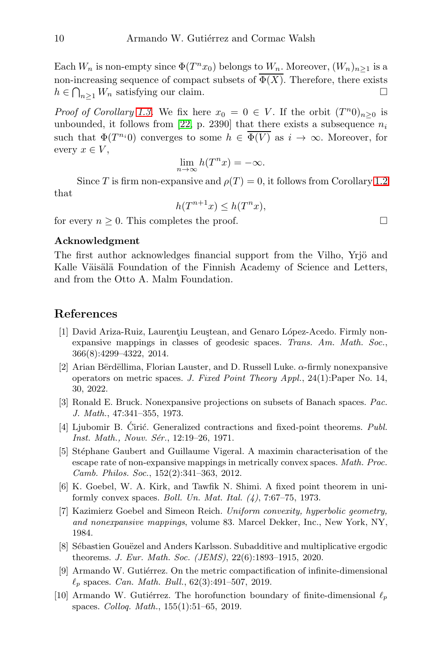Each  $W_n$  is non-empty since  $\Phi(T^n x_0)$  belongs to  $W_n$ . Moreover,  $(W_n)_{n\geq 1}$  is a non-increasing sequence of compact subsets of  $\overline{\Phi(X)}$ . Therefore, there exists  $h \in \bigcap_{n\geq 1} W_n$  satisfying our claim.

*Proof of Corollary [1.3.](#page-1-2)* We fix here  $x_0 = 0 \in V$ . If the orbit  $(T^n 0)_{n \geq 0}$  is unbounded, it follows from [\[22,](#page-10-2) p. 2390] that there exists a subsequence  $n_i$ such that  $\Phi(T^{n_i}0)$  converges to some  $h \in \Phi(V)$  as  $i \to \infty$ . Moreover, for every  $x \in V$ ,

$$
\lim_{n \to \infty} h(T^n x) = -\infty.
$$

Since T is firm non-expansive and  $\rho(T) = 0$ , it follows from Corollary [1.2](#page-1-0) that

 $h(T^{n+1}x) \leq h(T^n x),$ 

for every  $n \geq 0$ . This completes the proof.

#### Acknowledgment

The first author acknowledges financial support from the Vilho, Yrjö and Kalle Väisälä Foundation of the Finnish Academy of Science and Letters, and from the Otto A. Malm Foundation.

## <span id="page-9-2"></span>References

- [1] David Ariza-Ruiz, Laurentiu Leustean, and Genaro López-Acedo. Firmly nonexpansive mappings in classes of geodesic spaces. Trans. Am. Math. Soc., 366(8):4299–4322, 2014.
- <span id="page-9-6"></span>[2] Arian Bërdëllima, Florian Lauster, and D. Russell Luke.  $\alpha$ -firmly nonexpansive operators on metric spaces. J. Fixed Point Theory Appl., 24(1):Paper No. 14, 30, 2022.
- <span id="page-9-0"></span>[3] Ronald E. Bruck. Nonexpansive projections on subsets of Banach spaces. Pac. J. Math., 47:341–355, 1973.
- <span id="page-9-4"></span>[4] Ljubomir B. Ciric. Generalized contractions and fixed-point theorems.  $Publ.$ Inst. Math., Nouv. Sér., 12:19-26, 1971.
- <span id="page-9-3"></span>[5] Stéphane Gaubert and Guillaume Vigeral. A maximin characterisation of the escape rate of non-expansive mappings in metrically convex spaces. Math. Proc. Camb. Philos. Soc., 152(2):341–363, 2012.
- <span id="page-9-5"></span>[6] K. Goebel, W. A. Kirk, and Tawfik N. Shimi. A fixed point theorem in uniformly convex spaces. Boll. Un. Mat. Ital.  $(4)$ , 7:67–75, 1973.
- <span id="page-9-1"></span>[7] Kazimierz Goebel and Simeon Reich. Uniform convexity, hyperbolic geometry, and nonexpansive mappings, volume 83. Marcel Dekker, Inc., New York, NY, 1984.
- <span id="page-9-8"></span>[8] Sébastien Gouëzel and Anders Karlsson. Subadditive and multiplicative ergodic theorems. J. Eur. Math. Soc. (JEMS), 22(6):1893–1915, 2020.
- <span id="page-9-7"></span>[9] Armando W. Gutiérrez. On the metric compactification of infinite-dimensional  $\ell_p$  spaces. Can. Math. Bull., 62(3):491-507, 2019.
- <span id="page-9-9"></span>[10] Armando W. Gutiérrez. The horofunction boundary of finite-dimensional  $\ell_p$ spaces. Colloq. Math., 155(1):51–65, 2019.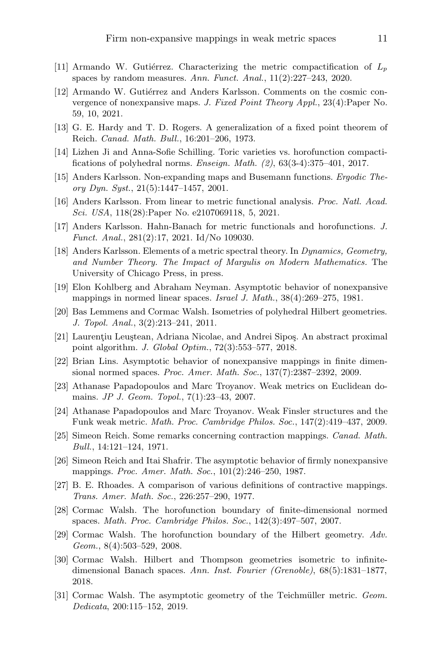- <span id="page-10-18"></span>[11] Armando W. Gutiérrez. Characterizing the metric compactification of  $L_p$ spaces by random measures. Ann. Funct. Anal.,  $11(2):227-243$ , 2020.
- <span id="page-10-1"></span>[12] Armando W. Gutiérrez and Anders Karlsson. Comments on the cosmic convergence of nonexpansive maps. J. Fixed Point Theory Appl., 23(4):Paper No. 59, 10, 2021.
- <span id="page-10-5"></span>[13] G. E. Hardy and T. D. Rogers. A generalization of a fixed point theorem of Reich. Canad. Math. Bull., 16:201–206, 1973.
- <span id="page-10-17"></span>[14] Lizhen Ji and Anna-Sofie Schilling. Toric varieties vs. horofunction compactifications of polyhedral norms. *Enseign. Math.*  $(2)$ ,  $63(3-4):375-401$ ,  $2017$ .
- <span id="page-10-19"></span>[15] Anders Karlsson. Non-expanding maps and Busemann functions. Ergodic Theory Dyn. Syst., 21(5):1447–1457, 2001.
- <span id="page-10-20"></span>[16] Anders Karlsson. From linear to metric functional analysis. Proc. Natl. Acad. Sci. USA, 118(28):Paper No. e2107069118, 5, 2021.
- <span id="page-10-10"></span>[17] Anders Karlsson. Hahn-Banach for metric functionals and horofunctions. J. Funct. Anal., 281(2):17, 2021. Id/No 109030.
- <span id="page-10-11"></span>[18] Anders Karlsson. Elements of a metric spectral theory. In Dynamics, Geometry, and Number Theory. The Impact of Margulis on Modern Mathematics. The University of Chicago Press, in press.
- <span id="page-10-9"></span>[19] Elon Kohlberg and Abraham Neyman. Asymptotic behavior of nonexpansive mappings in normed linear spaces. Israel J. Math., 38(4):269–275, 1981.
- <span id="page-10-13"></span>[20] Bas Lemmens and Cormac Walsh. Isometries of polyhedral Hilbert geometries. J. Topol. Anal., 3(2):213–241, 2011.
- <span id="page-10-8"></span>[21] Laurentiu Leustean, Adriana Nicolae, and Andrei Sipos. An abstract proximal point algorithm. J. Global Optim., 72(3):553–577, 2018.
- <span id="page-10-2"></span>[22] Brian Lins. Asymptotic behavior of nonexpansive mappings in finite dimensional normed spaces. Proc. Amer. Math. Soc., 137(7):2387–2392, 2009.
- <span id="page-10-3"></span>[23] Athanase Papadopoulos and Marc Troyanov. Weak metrics on Euclidean domains. JP J. Geom. Topol., 7(1):23–43, 2007.
- <span id="page-10-4"></span>[24] Athanase Papadopoulos and Marc Troyanov. Weak Finsler structures and the Funk weak metric. Math. Proc. Cambridge Philos. Soc., 147(2):419–437, 2009.
- <span id="page-10-6"></span>[25] Simeon Reich. Some remarks concerning contraction mappings. Canad. Math. Bull., 14:121–124, 1971.
- <span id="page-10-0"></span>[26] Simeon Reich and Itai Shafrir. The asymptotic behavior of firmly nonexpansive mappings. Proc. Amer. Math. Soc., 101(2):246-250, 1987.
- <span id="page-10-7"></span>[27] B. E. Rhoades. A comparison of various definitions of contractive mappings. Trans. Amer. Math. Soc., 226:257–290, 1977.
- <span id="page-10-16"></span>[28] Cormac Walsh. The horofunction boundary of finite-dimensional normed spaces. Math. Proc. Cambridge Philos. Soc., 142(3):497–507, 2007.
- <span id="page-10-12"></span>[29] Cormac Walsh. The horofunction boundary of the Hilbert geometry. Adv. Geom., 8(4):503–529, 2008.
- <span id="page-10-14"></span>[30] Cormac Walsh. Hilbert and Thompson geometries isometric to infinitedimensional Banach spaces. Ann. Inst. Fourier (Grenoble), 68(5):1831–1877, 2018.
- <span id="page-10-15"></span>[31] Cormac Walsh. The asymptotic geometry of the Teichmüller metric. Geom. Dedicata, 200:115–152, 2019.